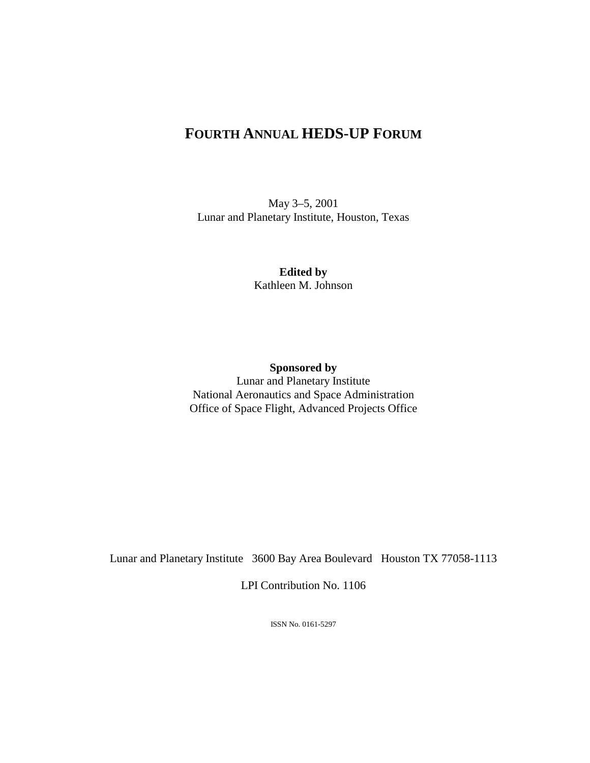## **FOURTH ANNUAL HEDS-UP FORUM**

May 3–5, 2001 Lunar and Planetary Institute, Houston, Texas

> **Edited by**  Kathleen M. Johnson

**Sponsored by**  Lunar and Planetary Institute National Aeronautics and Space Administration Office of Space Flight, Advanced Projects Office

Lunar and Planetary Institute 3600 Bay Area Boulevard Houston TX 77058-1113

LPI Contribution No. 1106

ISSN No. 0161-5297